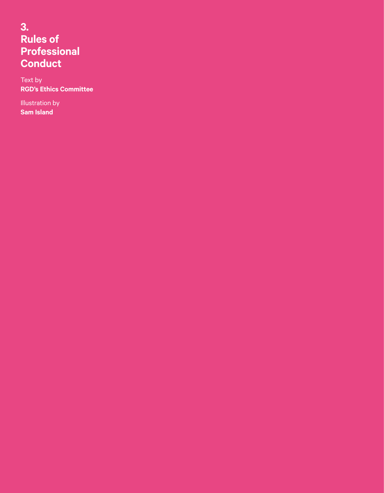# **3. Rules of Professional Conduct**

Text by **RGD's Ethics Committee**

Illustration by **Sam Island**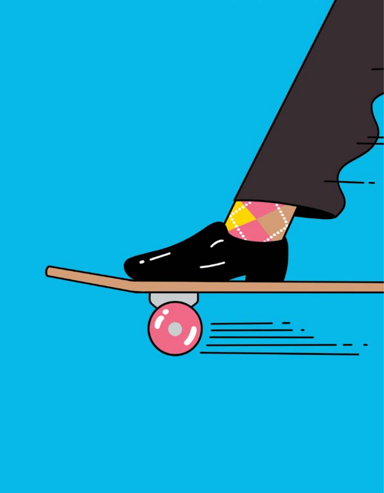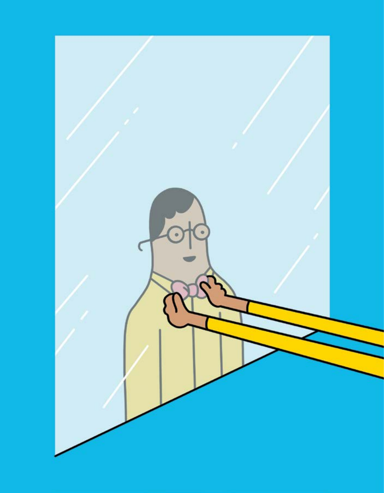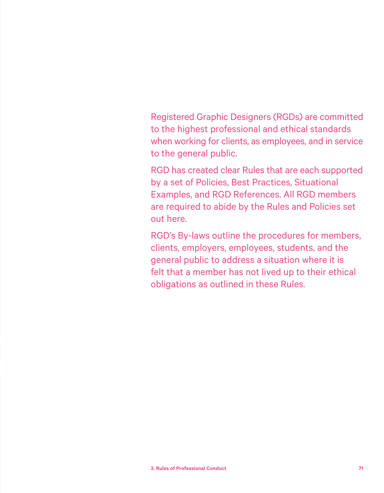Registered Graphic Designers (RGDs) are committed to the highest professional and ethical standards when working for clients, as employees, and in service to the general public.

RGD has created clear Rules that are each supported by a set of Policies, Best Practices, Situational Examples, and RGD References. All RGD members are required to abide by the Rules and Policies set out here.

RGD's By-laws outline the procedures for members, clients, employers, employees, students, and the general public to address a situation where it is felt that a member has not lived up to their ethical obligations as outlined in these Rules.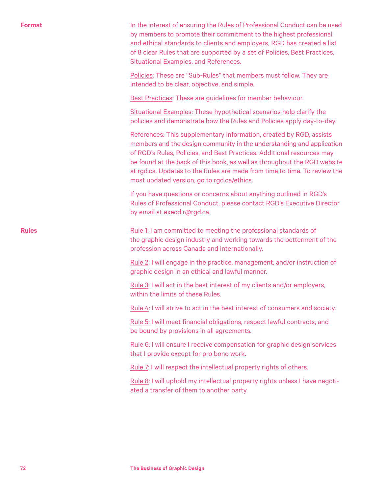|  | _______ |  |  |
|--|---------|--|--|

| <b>Format</b> | In the interest of ensuring the Rules of Professional Conduct can be used<br>by members to promote their commitment to the highest professional<br>and ethical standards to clients and employers, RGD has created a list<br>of 8 clear Rules that are supported by a set of Policies, Best Practices,<br>Situational Examples, and References.                                                                               |
|---------------|-------------------------------------------------------------------------------------------------------------------------------------------------------------------------------------------------------------------------------------------------------------------------------------------------------------------------------------------------------------------------------------------------------------------------------|
|               | Policies: These are "Sub-Rules" that members must follow. They are<br>intended to be clear, objective, and simple.                                                                                                                                                                                                                                                                                                            |
|               | Best Practices: These are guidelines for member behaviour.                                                                                                                                                                                                                                                                                                                                                                    |
|               | Situational Examples: These hypothetical scenarios help clarify the<br>policies and demonstrate how the Rules and Policies apply day-to-day.                                                                                                                                                                                                                                                                                  |
|               | References: This supplementary information, created by RGD, assists<br>members and the design community in the understanding and application<br>of RGD's Rules, Policies, and Best Practices. Additional resources may<br>be found at the back of this book, as well as throughout the RGD website<br>at rgd.ca. Updates to the Rules are made from time to time. To review the<br>most updated version, go to rgd.ca/ethics. |
|               | If you have questions or concerns about anything outlined in RGD's<br>Rules of Professional Conduct, please contact RGD's Executive Director<br>by email at execdir@rgd.ca.                                                                                                                                                                                                                                                   |
| <b>Rules</b>  | Rule 1: I am committed to meeting the professional standards of<br>the graphic design industry and working towards the betterment of the<br>profession across Canada and internationally.                                                                                                                                                                                                                                     |
|               | <u>Rule 2</u> : I will engage in the practice, management, and/or instruction of<br>graphic design in an ethical and lawful manner.                                                                                                                                                                                                                                                                                           |
|               | Rule 3: I will act in the best interest of my clients and/or employers,<br>within the limits of these Rules.                                                                                                                                                                                                                                                                                                                  |
|               | Rule 4: I will strive to act in the best interest of consumers and society.                                                                                                                                                                                                                                                                                                                                                   |
|               | Rule 5: I will meet financial obligations, respect lawful contracts, and<br>be bound by provisions in all agreements.                                                                                                                                                                                                                                                                                                         |
|               | Rule 6: I will ensure I receive compensation for graphic design services<br>that I provide except for pro bono work.                                                                                                                                                                                                                                                                                                          |
|               | Rule 7: I will respect the intellectual property rights of others.                                                                                                                                                                                                                                                                                                                                                            |
|               | Rule 8: I will uphold my intellectual property rights unless I have negoti-<br>ated a transfer of them to another party.                                                                                                                                                                                                                                                                                                      |
|               |                                                                                                                                                                                                                                                                                                                                                                                                                               |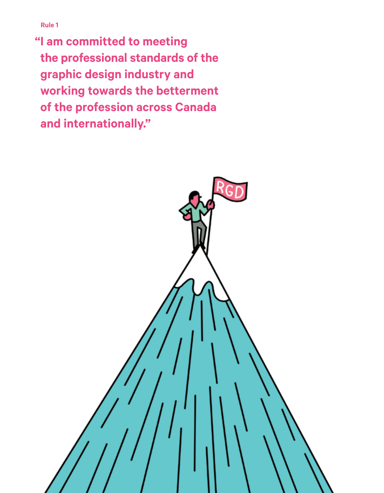**"I am committed to meeting the professional standards of the graphic design industry and working towards the betterment of the profession across Canada and internationally."**

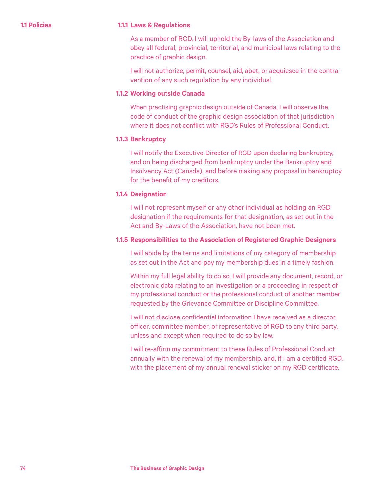# **1.1 Policies 1.1.1 Laws & Regulations**

As a member of RGD, I will uphold the By-laws of the Association and obey all federal, provincial, territorial, and municipal laws relating to the practice of graphic design.

I will not authorize, permit, counsel, aid, abet, or acquiesce in the contravention of any such regulation by any individual.

### **1.1.2 Working outside Canada**

When practising graphic design outside of Canada, I will observe the code of conduct of the graphic design association of that jurisdiction where it does not conflict with RGD's Rules of Professional Conduct.

#### **1.1.3 Bankruptcy**

I will notify the Executive Director of RGD upon declaring bankruptcy, and on being discharged from bankruptcy under the Bankruptcy and Insolvency Act (Canada), and before making any proposal in bankruptcy for the benefit of my creditors.

# **1.1.4 Designation**

I will not represent myself or any other individual as holding an RGD designation if the requirements for that designation, as set out in the Act and By-Laws of the Association, have not been met.

### **1.1.5 Responsibilities to the Association of Registered Graphic Designers**

I will abide by the terms and limitations of my category of membership as set out in the Act and pay my membership dues in a timely fashion.

Within my full legal ability to do so, I will provide any document, record, or electronic data relating to an investigation or a proceeding in respect of my professional conduct or the professional conduct of another member requested by the Grievance Committee or Discipline Committee.

I will not disclose confidential information I have received as a director, officer, committee member, or representative of RGD to any third party, unless and except when required to do so by law.

I will re-affirm my commitment to these Rules of Professional Conduct annually with the renewal of my membership, and, if I am a certified RGD, with the placement of my annual renewal sticker on my RGD certificate.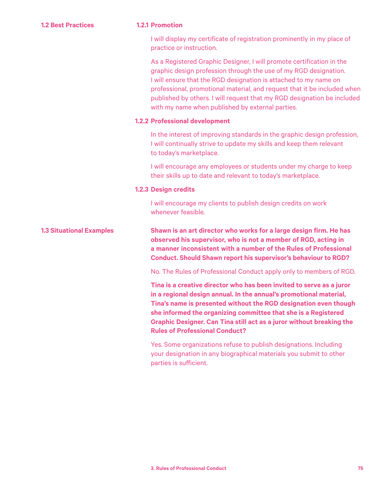I will display my certificate of registration prominently in my place of practice or instruction.

As a Registered Graphic Designer, I will promote certification in the graphic design profession through the use of my RGD designation. I will ensure that the RGD designation is attached to my name on professional, promotional material, and request that it be included when published by others. I will request that my RGD designation be included with my name when published by external parties.

# **1.2.2 Professional development**

In the interest of improving standards in the graphic design profession, I will continually strive to update my skills and keep them relevant to today's marketplace.

I will encourage any employees or students under my charge to keep their skills up to date and relevant to today's marketplace.

# **1.2.3 Design credits**

I will encourage my clients to publish design credits on work whenever feasible.

**1.3 Situational Examples Shawn is an art director who works for a large design firm. He has observed his supervisor, who is not a member of RGD, acting in a manner inconsistent with a number of the Rules of Professional Conduct. Should Shawn report his supervisor's behaviour to RGD?**

No. The Rules of Professional Conduct apply only to members of RGD.

**Tina is a creative director who has been invited to serve as a juror in a regional design annual. In the annual's promotional material, Tina's name is presented without the RGD designation even though she informed the organizing committee that she is a Registered Graphic Designer. Can Tina still act as a juror without breaking the Rules of Professional Conduct?**

Yes. Some organizations refuse to publish designations. Including your designation in any biographical materials you submit to other parties is sufficient.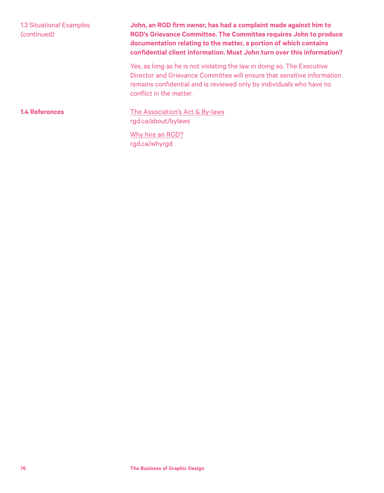1.3 Situational Examples (continued)

**John, an RGD firm owner, has had a complaint made against him to RGD's Grievance Committee. The Committee requires John to produce documentation relating to the matter, a portion of which contains confidential client information. Must John turn over this information?**

Yes, as long as he is not violating the law in doing so. The Executive Director and Grievance Committee will ensure that sensitive information remains confidential and is reviewed only by individuals who have no conflict in the matter.

**1.4 References** The Association's Act & By-laws rgd.ca/about/bylaws

> Why hire an RGD? rgd.ca/whyrgd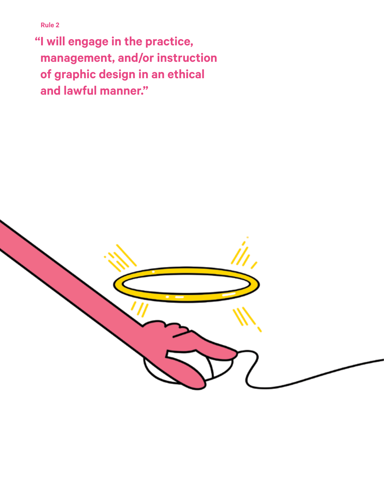**"I will engage in the practice, management, and/or instruction of graphic design in an ethical and lawful manner."**

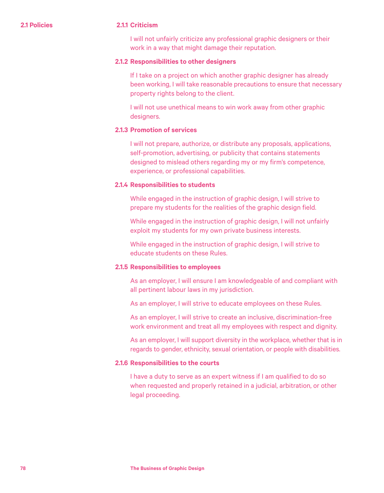#### **2.1 Policies 2.1.1 Criticism**

I will not unfairly criticize any professional graphic designers or their work in a way that might damage their reputation.

# **2.1.2 Responsibilities to other designers**

If I take on a project on which another graphic designer has already been working, I will take reasonable precautions to ensure that necessary property rights belong to the client.

I will not use unethical means to win work away from other graphic designers.

# **2.1.3 Promotion of services**

I will not prepare, authorize, or distribute any proposals, applications, self-promotion, advertising, or publicity that contains statements designed to mislead others regarding my or my firm's competence, experience, or professional capabilities.

# **2.1.4 Responsibilities to students**

While engaged in the instruction of graphic design, I will strive to prepare my students for the realities of the graphic design field.

While engaged in the instruction of graphic design, I will not unfairly exploit my students for my own private business interests.

While engaged in the instruction of graphic design, I will strive to educate students on these Rules.

# **2.1.5 Responsibilities to employees**

As an employer, I will ensure I am knowledgeable of and compliant with all pertinent labour laws in my jurisdiction.

As an employer, I will strive to educate employees on these Rules.

As an employer, I will strive to create an inclusive, discrimination-free work environment and treat all my employees with respect and dignity.

As an employer, I will support diversity in the workplace, whether that is in regards to gender, ethnicity, sexual orientation, or people with disabilities.

### **2.1.6 Responsibilities to the courts**

I have a duty to serve as an expert witness if I am qualified to do so when requested and properly retained in a judicial, arbitration, or other legal proceeding.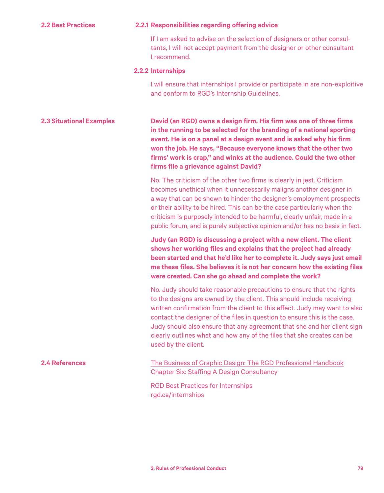# **2.2 Best Practices 2.2.1 Responsibilities regarding offering advice**

If I am asked to advise on the selection of designers or other consultants, I will not accept payment from the designer or other consultant I recommend.

# **2.2.2 Internships**

I will ensure that internships I provide or participate in are non-exploitive and conform to RGD's Internship Guidelines.

**2.3 Situational Examples David (an RGD) owns a design firm. His firm was one of three firms in the running to be selected for the branding of a national sporting event. He is on a panel at a design event and is asked why his firm won the job. He says, "Because everyone knows that the other two firms' work is crap," and winks at the audience. Could the two other firms file a grievance against David?**

> No. The criticism of the other two firms is clearly in jest. Criticism becomes unethical when it unnecessarily maligns another designer in a way that can be shown to hinder the designer's employment prospects or their ability to be hired. This can be the case particularly when the criticism is purposely intended to be harmful, clearly unfair, made in a public forum, and is purely subjective opinion and/or has no basis in fact.

> **Judy (an RGD) is discussing a project with a new client. The client shows her working files and explains that the project had already been started and that he'd like her to complete it. Judy says just email me these files. She believes it is not her concern how the existing files were created. Can she go ahead and complete the work?**

> No. Judy should take reasonable precautions to ensure that the rights to the designs are owned by the client. This should include receiving written confirmation from the client to this effect. Judy may want to also contact the designer of the files in question to ensure this is the case. Judy should also ensure that any agreement that she and her client sign clearly outlines what and how any of the files that she creates can be used by the client.

**2.4 References** The Business of Graphic Design: The RGD Professional Handbook Chapter Six: Staffing A Design Consultancy

> RGD Best Practices for Internships rgd.ca/internships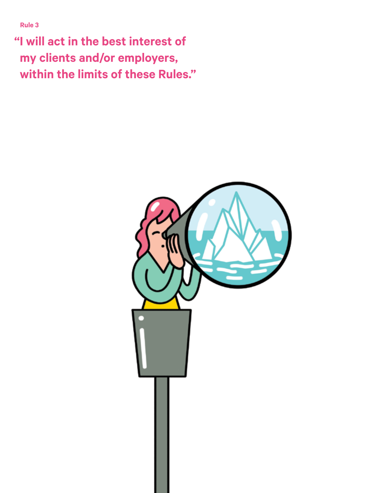**"I will act in the best interest of my clients and/or employers, within the limits of these Rules."**

![](_page_12_Picture_2.jpeg)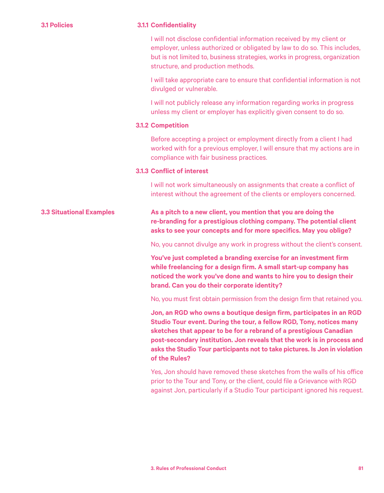# **3.1 Policies 3.1.1 Confidentiality**

I will not disclose confidential information received by my client or employer, unless authorized or obligated by law to do so. This includes, but is not limited to, business strategies, works in progress, organization structure, and production methods.

I will take appropriate care to ensure that confidential information is not divulged or vulnerable.

I will not publicly release any information regarding works in progress unless my client or employer has explicitly given consent to do so.

# **3.1.2 Competition**

Before accepting a project or employment directly from a client I had worked with for a previous employer, I will ensure that my actions are in compliance with fair business practices.

# **3.1.3 Conflict of interest**

I will not work simultaneously on assignments that create a conflict of interest without the agreement of the clients or employers concerned.

# **3.3 Situational Examples As a pitch to a new client, you mention that you are doing the re-branding for a prestigious clothing company. The potential client asks to see your concepts and for more specifics. May you oblige?**

No, you cannot divulge any work in progress without the client's consent.

**You've just completed a branding exercise for an investment firm while freelancing for a design firm. A small start-up company has noticed the work you've done and wants to hire you to design their brand. Can you do their corporate identity?**

No, you must first obtain permission from the design firm that retained you.

**Jon, an RGD who owns a boutique design firm, participates in an RGD Studio Tour event. During the tour, a fellow RGD, Tony, notices many sketches that appear to be for a rebrand of a prestigious Canadian post-secondary institution. Jon reveals that the work is in process and asks the Studio Tour participants not to take pictures. Is Jon in violation of the Rules?**

Yes, Jon should have removed these sketches from the walls of his office prior to the Tour and Tony, or the client, could file a Grievance with RGD against Jon, particularly if a Studio Tour participant ignored his request.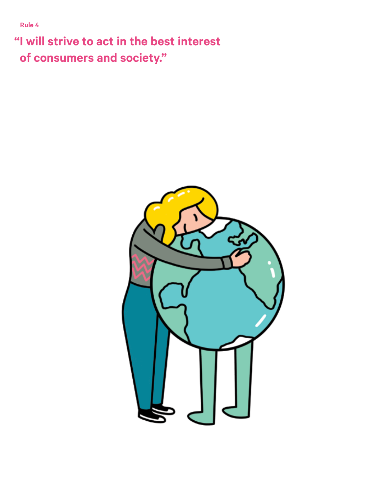**"I will strive to act in the best interest of consumers and society."**

![](_page_14_Picture_2.jpeg)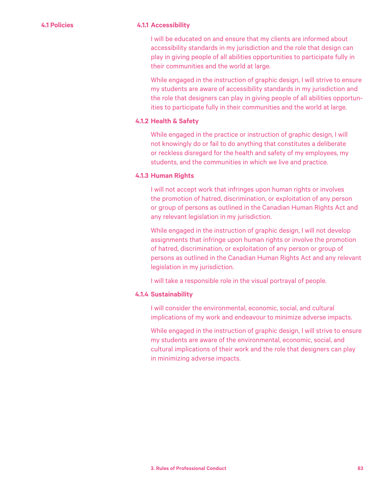# **4.1 Policies 4.1.1 Accessibility**

I will be educated on and ensure that my clients are informed about accessibility standards in my jurisdiction and the role that design can play in giving people of all abilities opportunities to participate fully in their communities and the world at large.

While engaged in the instruction of graphic design, I will strive to ensure my students are aware of accessibility standards in my jurisdiction and the role that designers can play in giving people of all abilities opportunities to participate fully in their communities and the world at large.

# **4.1.2 Health & Safety**

While engaged in the practice or instruction of graphic design, I will not knowingly do or fail to do anything that constitutes a deliberate or reckless disregard for the health and safety of my employees, my students, and the communities in which we live and practice.

### **4.1.3 Human Rights**

I will not accept work that infringes upon human rights or involves the promotion of hatred, discrimination, or exploitation of any person or group of persons as outlined in the Canadian Human Rights Act and any relevant legislation in my jurisdiction.

While engaged in the instruction of graphic design, I will not develop assignments that infringe upon human rights or involve the promotion of hatred, discrimination, or exploitation of any person or group of persons as outlined in the Canadian Human Rights Act and any relevant legislation in my jurisdiction.

I will take a responsible role in the visual portrayal of people.

# **4.1.4 Sustainability**

I will consider the environmental, economic, social, and cultural implications of my work and endeavour to minimize adverse impacts.

While engaged in the instruction of graphic design, I will strive to ensure my students are aware of the environmental, economic, social, and cultural implications of their work and the role that designers can play in minimizing adverse impacts.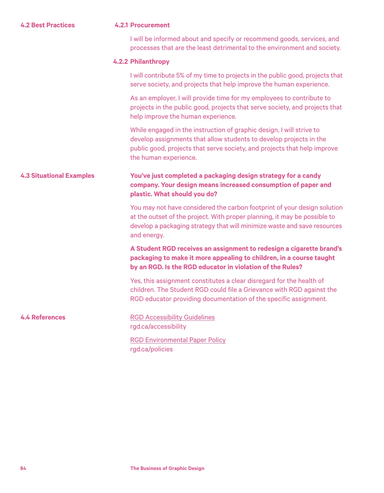| <b>4.2 Best Practices</b>       | <b>4.2.1 Procurement</b>                                                                                                                                                                                                                         |
|---------------------------------|--------------------------------------------------------------------------------------------------------------------------------------------------------------------------------------------------------------------------------------------------|
|                                 | I will be informed about and specify or recommend goods, services, and<br>processes that are the least detrimental to the environment and society.                                                                                               |
|                                 | 4.2.2 Philanthropy                                                                                                                                                                                                                               |
|                                 | I will contribute 5% of my time to projects in the public good, projects that<br>serve society, and projects that help improve the human experience.                                                                                             |
|                                 | As an employer, I will provide time for my employees to contribute to<br>projects in the public good, projects that serve society, and projects that<br>help improve the human experience.                                                       |
|                                 | While engaged in the instruction of graphic design, I will strive to<br>develop assignments that allow students to develop projects in the<br>public good, projects that serve society, and projects that help improve<br>the human experience.  |
| <b>4.3 Situational Examples</b> | You've just completed a packaging design strategy for a candy<br>company. Your design means increased consumption of paper and<br>plastic. What should you do?                                                                                   |
|                                 | You may not have considered the carbon footprint of your design solution<br>at the outset of the project. With proper planning, it may be possible to<br>develop a packaging strategy that will minimize waste and save resources<br>and energy. |
|                                 | A Student RGD receives an assignment to redesign a cigarette brand's<br>packaging to make it more appealing to children, in a course taught<br>by an RGD. Is the RGD educator in violation of the Rules?                                         |
|                                 | Yes, this assignment constitutes a clear disregard for the health of<br>children. The Student RGD could file a Grievance with RGD against the<br>RGD educator providing documentation of the specific assignment.                                |
| <b>4.4 References</b>           | <b>RGD Accessibility Guidelines</b><br>rgd.ca/accessibility                                                                                                                                                                                      |
|                                 | <b>RGD Environmental Paper Policy</b><br>rgd.ca/policies                                                                                                                                                                                         |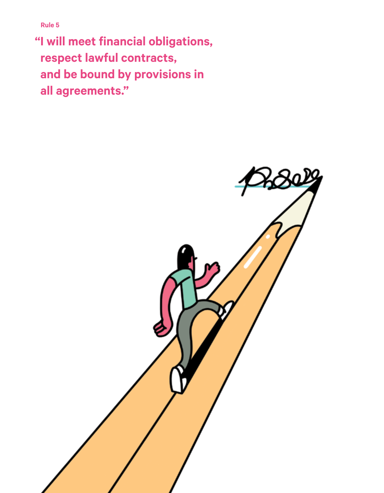**"I will meet financial obligations, respect lawful contracts, and be bound by provisions in all agreements."**

![](_page_17_Picture_2.jpeg)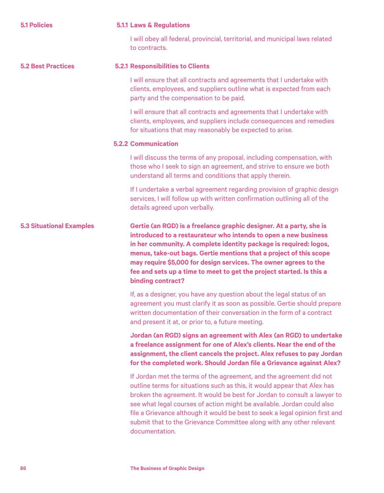| <b>5.1 Policies</b>             | <b>5.1.1 Laws &amp; Regulations</b>                                                                                                                                                                                                                                                                                                                                                                                                                                             |
|---------------------------------|---------------------------------------------------------------------------------------------------------------------------------------------------------------------------------------------------------------------------------------------------------------------------------------------------------------------------------------------------------------------------------------------------------------------------------------------------------------------------------|
|                                 | I will obey all federal, provincial, territorial, and municipal laws related<br>to contracts.                                                                                                                                                                                                                                                                                                                                                                                   |
| <b>5.2 Best Practices</b>       | <b>5.2.1 Responsibilities to Clients</b>                                                                                                                                                                                                                                                                                                                                                                                                                                        |
|                                 | I will ensure that all contracts and agreements that I undertake with<br>clients, employees, and suppliers outline what is expected from each<br>party and the compensation to be paid.                                                                                                                                                                                                                                                                                         |
|                                 | I will ensure that all contracts and agreements that I undertake with<br>clients, employees, and suppliers include consequences and remedies<br>for situations that may reasonably be expected to arise.                                                                                                                                                                                                                                                                        |
|                                 | <b>5.2.2 Communication</b>                                                                                                                                                                                                                                                                                                                                                                                                                                                      |
|                                 | I will discuss the terms of any proposal, including compensation, with<br>those who I seek to sign an agreement, and strive to ensure we both<br>understand all terms and conditions that apply therein.                                                                                                                                                                                                                                                                        |
|                                 | If I undertake a verbal agreement regarding provision of graphic design<br>services, I will follow up with written confirmation outlining all of the<br>details agreed upon verbally.                                                                                                                                                                                                                                                                                           |
| <b>5.3 Situational Examples</b> | Gertie (an RGD) is a freelance graphic designer. At a party, she is<br>introduced to a restaurateur who intends to open a new business<br>in her community. A complete identity package is required: logos,<br>menus, take-out bags. Gertie mentions that a project of this scope<br>may require \$5,000 for design services. The owner agrees to the<br>fee and sets up a time to meet to get the project started. Is this a<br>binding contract?                              |
|                                 | If, as a designer, you have any question about the legal status of an<br>agreement you must clarify it as soon as possible. Gertie should prepare<br>written documentation of their conversation in the form of a contract<br>and present it at, or prior to, a future meeting.                                                                                                                                                                                                 |
|                                 | Jordan (an RGD) signs an agreement with Alex (an RGD) to undertake<br>a freelance assignment for one of Alex's clients. Near the end of the<br>assignment, the client cancels the project. Alex refuses to pay Jordan<br>for the completed work. Should Jordan file a Grievance against Alex?                                                                                                                                                                                   |
|                                 | If Jordan met the terms of the agreement, and the agreement did not<br>outline terms for situations such as this, it would appear that Alex has<br>broken the agreement. It would be best for Jordan to consult a lawyer to<br>see what legal courses of action might be available. Jordan could also<br>file a Grievance although it would be best to seek a legal opinion first and<br>submit that to the Grievance Committee along with any other relevant<br>documentation. |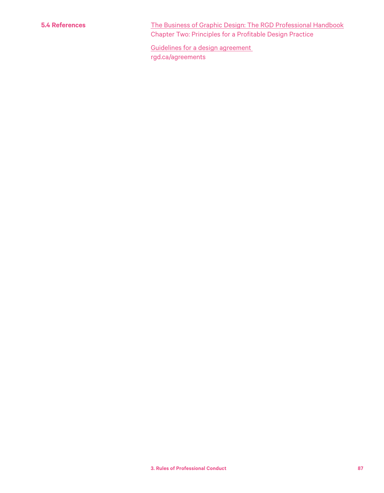**5.4 References** The Business of Graphic Design: The RGD Professional Handbook Chapter Two: Principles for a Profitable Design Practice

> Guidelines for a design agreement rgd.ca/agreements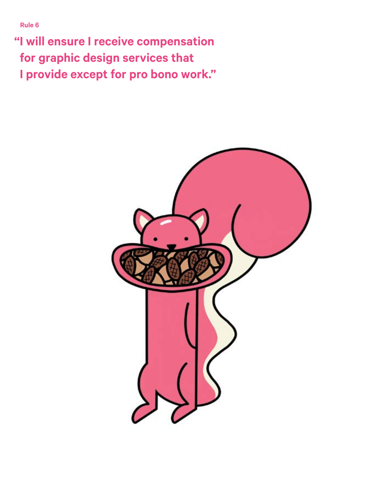**"I will ensure I receive compensation for graphic design services that I provide except for pro bono work."**

![](_page_20_Picture_2.jpeg)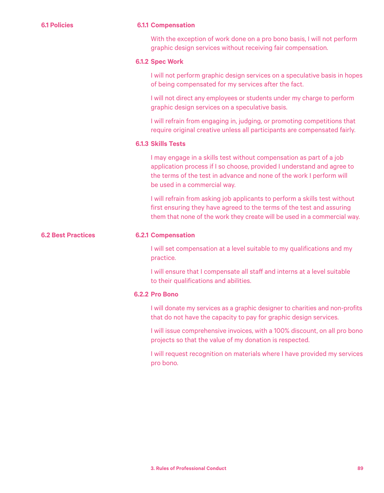# **6.1 Policies 6.1.1 Compensation**

With the exception of work done on a pro bono basis, I will not perform graphic design services without receiving fair compensation.

# **6.1.2 Spec Work**

I will not perform graphic design services on a speculative basis in hopes of being compensated for my services after the fact.

I will not direct any employees or students under my charge to perform graphic design services on a speculative basis.

I will refrain from engaging in, judging, or promoting competitions that require original creative unless all participants are compensated fairly.

# **6.1.3 Skills Tests**

I may engage in a skills test without compensation as part of a job application process if I so choose, provided I understand and agree to the terms of the test in advance and none of the work I perform will be used in a commercial way.

I will refrain from asking job applicants to perform a skills test without first ensuring they have agreed to the terms of the test and assuring them that none of the work they create will be used in a commercial way.

### **6.2 Best Practices 6.2.1 Compensation**

I will set compensation at a level suitable to my qualifications and my practice.

I will ensure that I compensate all staff and interns at a level suitable to their qualifications and abilities.

# **6.2.2 Pro Bono**

I will donate my services as a graphic designer to charities and non-profits that do not have the capacity to pay for graphic design services.

I will issue comprehensive invoices, with a 100% discount, on all pro bono projects so that the value of my donation is respected.

I will request recognition on materials where I have provided my services pro bono.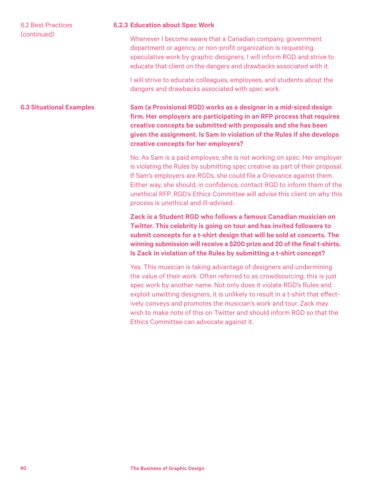| <b>6.2 Best Practices</b>       | <b>6.2.3 Education about Spec Work</b>                                                                                                                                                                                                                                                                                                                                                                                                                                                                 |
|---------------------------------|--------------------------------------------------------------------------------------------------------------------------------------------------------------------------------------------------------------------------------------------------------------------------------------------------------------------------------------------------------------------------------------------------------------------------------------------------------------------------------------------------------|
| (continued)                     | Whenever I become aware that a Canadian company, government<br>department or agency, or non-profit organization is requesting<br>speculative work by graphic designers, I will inform RGD and strive to<br>educate that client on the dangers and drawbacks associated with it.                                                                                                                                                                                                                        |
|                                 | I will strive to educate colleagues, employees, and students about the<br>dangers and drawbacks associated with spec work.                                                                                                                                                                                                                                                                                                                                                                             |
| <b>6.3 Situational Examples</b> | Sam (a Provisional RGD) works as a designer in a mid-sized design<br>firm. Her employers are participating in an RFP process that requires<br>creative concepts be submitted with proposals and she has been<br>given the assignment. Is Sam in violation of the Rules if she develops<br>creative concepts for her employers?                                                                                                                                                                         |
|                                 | No. As Sam is a paid employee, she is not working on spec. Her employer<br>is violating the Rules by submitting spec creative as part of their proposal.<br>If Sam's employers are RGDs, she could file a Grievance against them.<br>Either way, she should, in confidence, contact RGD to inform them of the<br>unethical RFP. RGD's Ethics Committee will advise this client on why this<br>process is unethical and ill-advised.                                                                    |
|                                 | Zack is a Student RGD who follows a famous Canadian musician on<br>Twitter. This celebrity is going on tour and has invited followers to<br>submit concepts for a t-shirt design that will be sold at concerts. The<br>winning submission will receive a \$200 prize and 20 of the final t-shirts.<br>Is Zack in violation of the Rules by submitting a t-shirt concept?                                                                                                                               |
|                                 | Yes. This musician is taking advantage of designers and undermining<br>the value of their work. Often referred to as crowdsourcing, this is just<br>spec work by another name. Not only does it violate RGD's Rules and<br>exploit unwitting designers, it is unlikely to result in a t-shirt that effect-<br>ively conveys and promotes the musician's work and tour. Zack may<br>wish to make note of this on Twitter and should inform RGD so that the<br>Ethics Committee can advocate against it. |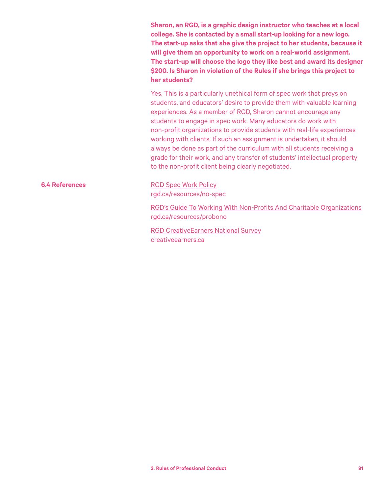**Sharon, an RGD, is a graphic design instructor who teaches at a local college. She is contacted by a small start-up looking for a new logo. The start-up asks that she give the project to her students, because it will give them an opportunity to work on a real-world assignment. The start-up will choose the logo they like best and award its designer \$200. Is Sharon in violation of the Rules if she brings this project to her students?**

Yes. This is a particularly unethical form of spec work that preys on students, and educators' desire to provide them with valuable learning experiences. As a member of RGD, Sharon cannot encourage any students to engage in spec work. Many educators do work with non-profit organizations to provide students with real-life experiences working with clients. If such an assignment is undertaken, it should always be done as part of the curriculum with all students receiving a grade for their work, and any transfer of students' intellectual property to the non-profit client being clearly negotiated.

**6.4 References** RGD Spec Work Policy rgd.ca/resources/no-spec

> RGD's Guide To Working With Non-Profits And Charitable Organizations rgd.ca/resources/probono

RGD CreativeEarners National Survey creativeearners.ca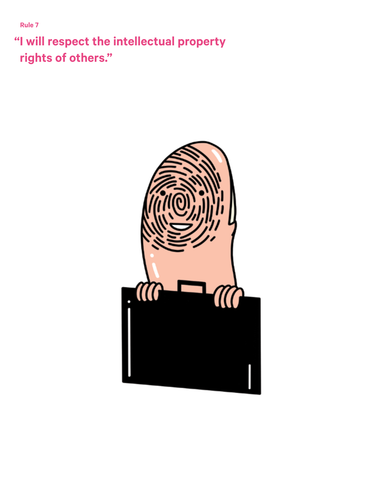**"I will respect the intellectual property rights of others." Rule 7**

![](_page_24_Picture_1.jpeg)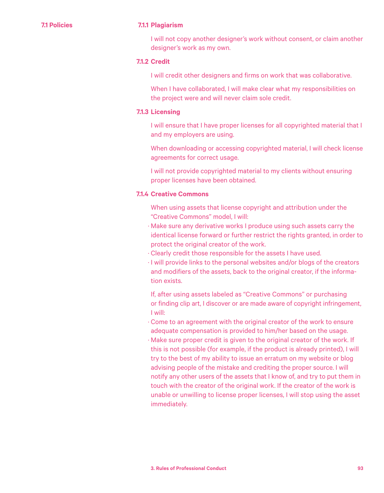# **7.1 Policies 7.1.1 Plagiarism**

I will not copy another designer's work without consent, or claim another designer's work as my own.

# **7.1.2 Credit**

I will credit other designers and firms on work that was collaborative.

When I have collaborated, I will make clear what my responsibilities on the project were and will never claim sole credit.

# **7.1.3 Licensing**

I will ensure that I have proper licenses for all copyrighted material that I and my employers are using.

When downloading or accessing copyrighted material, I will check license agreements for correct usage.

I will not provide copyrighted material to my clients without ensuring proper licenses have been obtained.

# **7.1.4 Creative Commons**

When using assets that license copyright and attribution under the "Creative Commons" model, I will:

- · Make sure any derivative works I produce using such assets carry the identical license forward or further restrict the rights granted, in order to protect the original creator of the work.
- · Clearly credit those responsible for the assets I have used.
- · I will provide links to the personal websites and/or blogs of the creators and modifiers of the assets, back to the original creator, if the information exists.

If, after using assets labeled as "Creative Commons" or purchasing or finding clip art, I discover or are made aware of copyright infringement, I will:

- · Come to an agreement with the original creator of the work to ensure adequate compensation is provided to him/her based on the usage.
- · Make sure proper credit is given to the original creator of the work. If this is not possible (for example, if the product is already printed), I will try to the best of my ability to issue an erratum on my website or blog advising people of the mistake and crediting the proper source. I will notify any other users of the assets that I know of, and try to put them in touch with the creator of the original work. If the creator of the work is unable or unwilling to license proper licenses, I will stop using the asset immediately.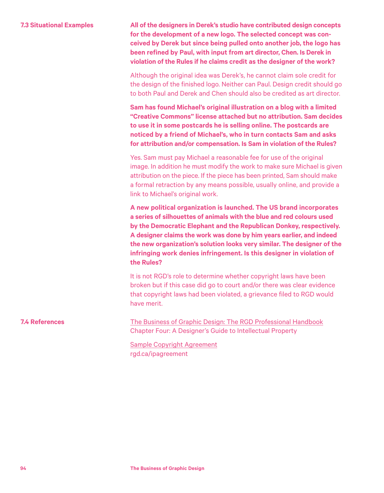**7.3 Situational Examples All of the designers in Derek's studio have contributed design concepts for the development of a new logo. The selected concept was conceived by Derek but since being pulled onto another job, the logo has been refined by Paul, with input from art director, Chen. Is Derek in violation of the Rules if he claims credit as the designer of the work?**

> Although the original idea was Derek's, he cannot claim sole credit for the design of the finished logo. Neither can Paul. Design credit should go to both Paul and Derek and Chen should also be credited as art director.

> **Sam has found Michael's original illustration on a blog with a limited "Creative Commons" license attached but no attribution. Sam decides to use it in some postcards he is selling online. The postcards are noticed by a friend of Michael's, who in turn contacts Sam and asks for attribution and/or compensation. Is Sam in violation of the Rules?**

> Yes. Sam must pay Michael a reasonable fee for use of the original image. In addition he must modify the work to make sure Michael is given attribution on the piece. If the piece has been printed, Sam should make a formal retraction by any means possible, usually online, and provide a link to Michael's original work.

> **A new political organization is launched. The US brand incorporates a series of silhouettes of animals with the blue and red colours used by the Democratic Elephant and the Republican Donkey, respectively. A designer claims the work was done by him years earlier, and indeed the new organization's solution looks very similar. The designer of the infringing work denies infringement. Is this designer in violation of the Rules?**

It is not RGD's role to determine whether copyright laws have been broken but if this case did go to court and/or there was clear evidence that copyright laws had been violated, a grievance filed to RGD would have merit.

**7.4 References** The Business of Graphic Design: The RGD Professional Handbook Chapter Four: A Designer's Guide to Intellectual Property

> Sample Copyright Agreement rgd.ca/ipagreement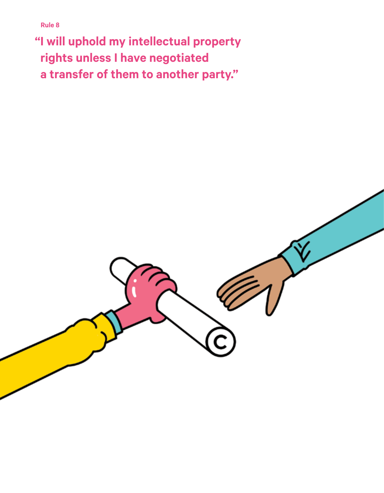**"I will uphold my intellectual property rights unless I have negotiated a transfer of them to another party."**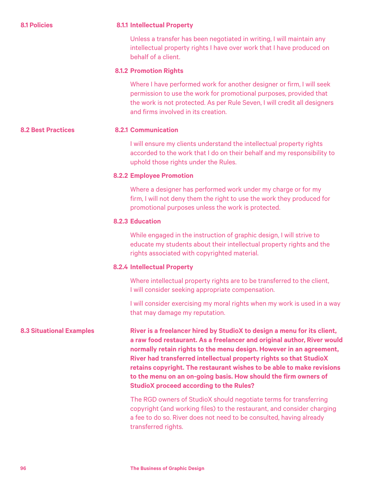# **8.1 Policies 8.1.1 Intellectual Property**

Unless a transfer has been negotiated in writing, I will maintain any intellectual property rights I have over work that I have produced on behalf of a client.

### **8.1.2 Promotion Rights**

Where I have performed work for another designer or firm, I will seek permission to use the work for promotional purposes, provided that the work is not protected. As per Rule Seven, I will credit all designers and firms involved in its creation.

# **8.2 Best Practices 8.2.1 Communication**

I will ensure my clients understand the intellectual property rights accorded to the work that I do on their behalf and my responsibility to uphold those rights under the Rules.

#### **8.2.2 Employee Promotion**

Where a designer has performed work under my charge or for my firm, I will not deny them the right to use the work they produced for promotional purposes unless the work is protected.

# **8.2.3 Education**

While engaged in the instruction of graphic design, I will strive to educate my students about their intellectual property rights and the rights associated with copyrighted material.

# **8.2.4 Intellectual Property**

Where intellectual property rights are to be transferred to the client, I will consider seeking appropriate compensation.

I will consider exercising my moral rights when my work is used in a way that may damage my reputation.

**8.3 Situational Examples River is a freelancer hired by StudioX to design a menu for its client, a raw food restaurant. As a freelancer and original author, River would normally retain rights to the menu design. However in an agreement, River had transferred intellectual property rights so that StudioX retains copyright. The restaurant wishes to be able to make revisions to the menu on an on-going basis. How should the firm owners of StudioX proceed according to the Rules?**

> The RGD owners of StudioX should negotiate terms for transferring copyright (and working files) to the restaurant, and consider charging a fee to do so. River does not need to be consulted, having already transferred rights.